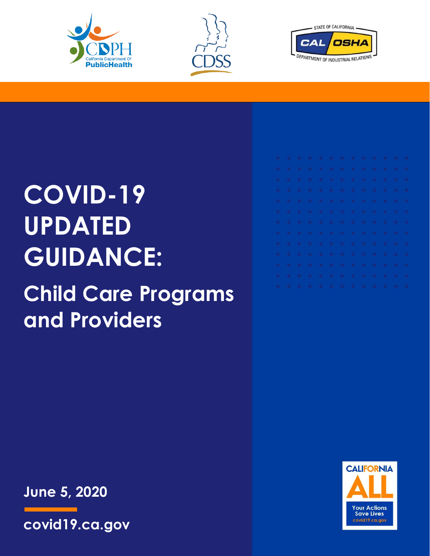





# **COVID-19 UPDATED GUIDANCE:**

## **Child Care Programs and Providers**

|   |  |  | . |  |  |  |
|---|--|--|---|--|--|--|
| . |  |  |   |  |  |  |
| . |  |  |   |  |  |  |
| . |  |  |   |  |  |  |
| . |  |  |   |  |  |  |
| . |  |  |   |  |  |  |
| . |  |  |   |  |  |  |
| . |  |  |   |  |  |  |
| . |  |  |   |  |  |  |
|   |  |  | . |  |  |  |
| . |  |  |   |  |  |  |
| . |  |  |   |  |  |  |
| . |  |  |   |  |  |  |

**June 5, 2020**



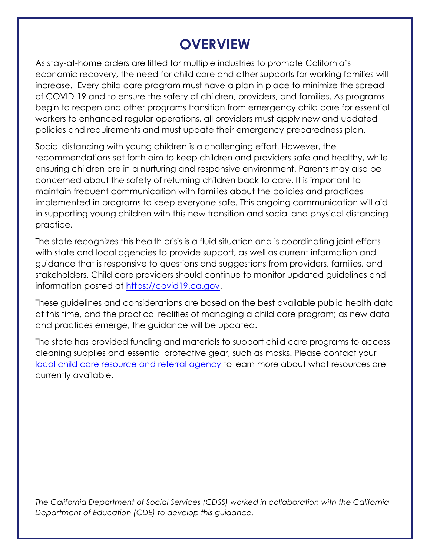### **OVERVIEW**

As stay-at-home orders are lifted for multiple industries to promote California's economic recovery, the need for child care and other supports for working families will increase. Every child care program must have a plan in place to minimize the spread of COVID-19 and to ensure the safety of children, providers, and families. As programs begin to reopen and other programs transition from emergency child care for essential workers to enhanced regular operations, all providers must apply new and updated policies and requirements and must update their emergency preparedness plan.

Social distancing with young children is a challenging effort. However, the recommendations set forth aim to keep children and providers safe and healthy, while ensuring children are in a nurturing and responsive environment. Parents may also be concerned about the safety of returning children back to care. It is important to maintain frequent communication with families about the policies and practices implemented in programs to keep everyone safe. This ongoing communication will aid in supporting young children with this new transition and social and physical distancing practice.

The state recognizes this health crisis is a fluid situation and is coordinating joint efforts with state and local agencies to provide support, as well as current information and guidance that is responsive to questions and suggestions from providers, families, and stakeholders. Child care providers should continue to monitor updated guidelines and information posted at [https://covid19.ca.gov.](https://covid19.ca.gov/)

These guidelines and considerations are based on the best available public health data at this time, and the practical realities of managing a child care program; as new data and practices emerge, the guidance will be updated.

The state has provided funding and materials to support child care programs to access cleaning supplies and essential protective gear, such as masks. Please contact your [local child care resource and referral agency](https://rrnetwork.org/assets/general-files/Member-Directory-5_15.pdf) to learn more about what resources are currently available.

*The California Department of Social Services (CDSS) worked in collaboration with the California Department of Education (CDE) to develop this guidance.*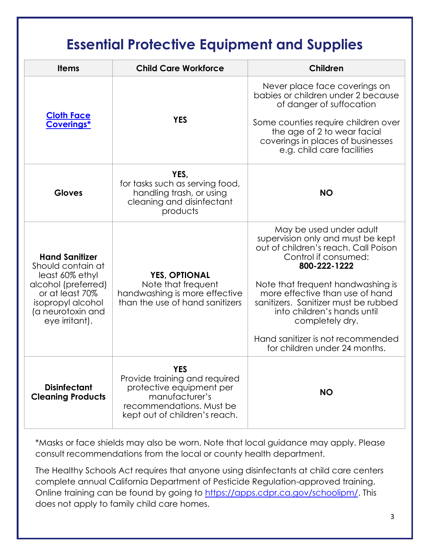### **Essential Protective Equipment and Supplies**

| <b>Items</b>                                                                                                                                                        | <b>Child Care Workforce</b>                                                                                                                     | Children                                                                                                                                                                                                                                                                                                                                                                             |  |  |  |
|---------------------------------------------------------------------------------------------------------------------------------------------------------------------|-------------------------------------------------------------------------------------------------------------------------------------------------|--------------------------------------------------------------------------------------------------------------------------------------------------------------------------------------------------------------------------------------------------------------------------------------------------------------------------------------------------------------------------------------|--|--|--|
| <b>Cloth Face</b><br><b>Coverings*</b>                                                                                                                              | <b>YES</b>                                                                                                                                      | Never place face coverings on<br>babies or children under 2 because<br>of danger of suffocation<br>Some counties require children over<br>the age of 2 to wear facial<br>coverings in places of businesses<br>e.g. child care facilities                                                                                                                                             |  |  |  |
| <b>Gloves</b>                                                                                                                                                       | YES,<br>for tasks such as serving food,<br>handling trash, or using<br>cleaning and disinfectant<br>products                                    | <b>NO</b>                                                                                                                                                                                                                                                                                                                                                                            |  |  |  |
| <b>Hand Sanitizer</b><br>Should contain at<br>least 60% ethyl<br>alcohol (preferred)<br>or at least 70%<br>isopropyl alcohol<br>(a neurotoxin and<br>eye irritant). | <b>YES, OPTIONAL</b><br>Note that frequent<br>handwashing is more effective<br>than the use of hand sanitizers                                  | May be used under adult<br>supervision only and must be kept<br>out of children's reach. Call Poison<br>Control if consumed:<br>800-222-1222<br>Note that frequent handwashing is<br>more effective than use of hand<br>sanitizers. Sanitizer must be rubbed<br>into children's hands until<br>completely dry.<br>Hand sanitizer is not recommended<br>for children under 24 months. |  |  |  |
| <b>Disinfectant</b><br><b>Cleaning Products</b>                                                                                                                     | YFS<br>Provide training and required<br>protective equipment per<br>manufacturer's<br>recommendations. Must be<br>kept out of children's reach. | <b>NO</b>                                                                                                                                                                                                                                                                                                                                                                            |  |  |  |

\*Masks or face shields may also be worn. Note that local guidance may apply. Please consult recommendations from the local or county health department.

The Healthy Schools Act requires that anyone using disinfectants at child care centers complete annual California Department of Pesticide Regulation-approved training. Online training can be found by going to [https://apps.cdpr.ca.gov/schoolipm/.](https://apps.cdpr.ca.gov/schoolipm/) This does not apply to family child care homes.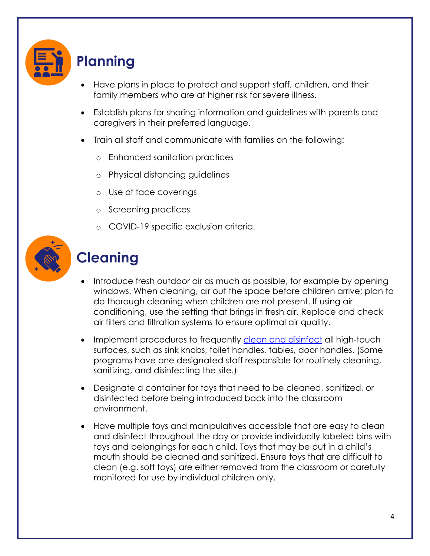

### **Planning**

- Have plans in place to protect and support staff, children, and their family members who are at higher risk for severe illness.
- Establish plans for sharing information and guidelines with parents and caregivers in their preferred language.
- Train all staff and communicate with families on the following:
	- o Enhanced sanitation practices
	- o Physical distancing guidelines
	- o Use of face coverings
	- o Screening practices
	- o COVID-19 specific exclusion criteria.



### **Cleaning**

- Introduce fresh outdoor air as much as possible, for example by opening windows. When cleaning, air out the space before children arrive; plan to do thorough cleaning when children are not present. If using air conditioning, use the setting that brings in fresh air. Replace and check air filters and filtration systems to ensure optimal air quality.
- Implement procedures to frequently [clean and disinfect](https://www.cdc.gov/coronavirus/2019-ncov/community/organizations/cleaning-disinfection.html) all high-touch surfaces, such as sink knobs, toilet handles, tables, door handles. (Some programs have one designated staff responsible for routinely cleaning, sanitizing, and disinfecting the site.)
- Designate a container for toys that need to be cleaned, sanitized, or disinfected before being introduced back into the classroom environment.
- Have multiple toys and manipulatives accessible that are easy to clean and disinfect throughout the day or provide individually labeled bins with toys and belongings for each child. Toys that may be put in a child's mouth should be cleaned and sanitized. Ensure toys that are difficult to clean (e.g. soft toys) are either removed from the classroom or carefully monitored for use by individual children only.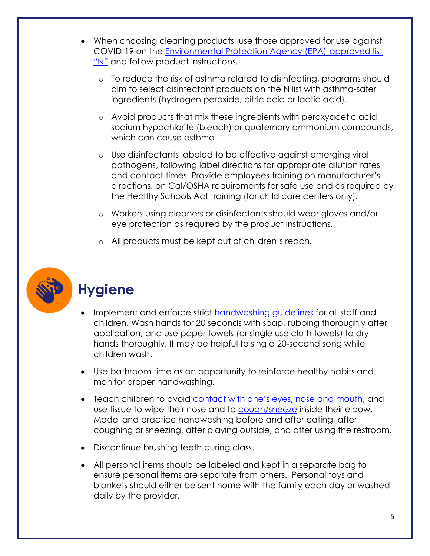- When choosing cleaning products, use those approved for use against COVID-19 on the [Environmental Protection Agency \(EPA\)-approved list](https://www.epa.gov/pesticide-registration/list-n-disinfectants-use-against-sars-cov-2)  ["N"](https://www.epa.gov/pesticide-registration/list-n-disinfectants-use-against-sars-cov-2) and follow product instructions.
	- o To reduce the risk of asthma related to disinfecting, programs should aim to select disinfectant products on the N list with asthma-safer ingredients (hydrogen peroxide, citric acid or lactic acid).
	- o Avoid products that mix these ingredients with peroxyacetic acid, sodium hypochlorite (bleach) or quaternary ammonium compounds, which can cause asthma.
	- o Use disinfectants labeled to be effective against emerging viral pathogens, following label directions for appropriate dilution rates and contact times. Provide employees training on manufacturer's directions, on Cal/OSHA requirements for safe use and as required by the Healthy Schools Act training (for child care centers only).
	- o Workers using cleaners or disinfectants should wear gloves and/or eye protection as required by the product instructions.
	- o All products must be kept out of children's reach.



### **Hygiene**

- Implement and enforce strict [handwashing guidelines](https://www.cdc.gov/handwashing/index.html) for all staff and children. Wash hands for 20 seconds with soap, rubbing thoroughly after application, and use paper towels (or single use cloth towels) to dry hands thoroughly. It may be helpful to sing a 20-second song while children wash.
- Use bathroom time as an opportunity to reinforce healthy habits and monitor proper handwashing.
- Teach children to avoid [contact with one's eyes, nose and mouth,](https://www.cdc.gov/coronavirus/2019-ncov/prevent-getting-sick/prevention-H.pdf) and use tissue to wipe their nose and to [cough/sneeze](https://www.cdc.gov/healthywater/hygiene/etiquette/coughing_sneezing.html) inside their elbow. Model and practice handwashing before and after eating, after coughing or sneezing, after playing outside, and after using the restroom.
- Discontinue brushing teeth during class.
- All personal items should be labeled and kept in a separate bag to ensure personal items are separate from others. Personal toys and blankets should either be sent home with the family each day or washed daily by the provider.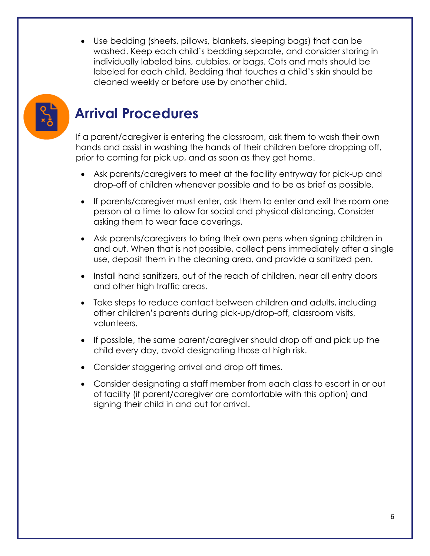• Use bedding (sheets, pillows, blankets, sleeping bags) that can be washed. Keep each child's bedding separate, and consider storing in individually labeled bins, cubbies, or bags. Cots and mats should be labeled for each child. Bedding that touches a child's skin should be cleaned weekly or before use by another child.



### **Arrival Procedures**

If a parent/caregiver is entering the classroom, ask them to wash their own hands and assist in washing the hands of their children before dropping off, prior to coming for pick up, and as soon as they get home.

- Ask parents/caregivers to meet at the facility entryway for pick-up and drop-off of children whenever possible and to be as brief as possible.
- If parents/caregiver must enter, ask them to enter and exit the room one person at a time to allow for social and physical distancing. Consider asking them to wear face coverings.
- Ask parents/caregivers to bring their own pens when signing children in and out. When that is not possible, collect pens immediately after a single use, deposit them in the cleaning area, and provide a sanitized pen.
- Install hand sanitizers, out of the reach of children, near all entry doors and other high traffic areas.
- Take steps to reduce contact between children and adults, including other children's parents during pick-up/drop-off, classroom visits, volunteers.
- If possible, the same parent/caregiver should drop off and pick up the child every day, avoid designating those at high risk.
- Consider staggering arrival and drop off times.
- Consider designating a staff member from each class to escort in or out of facility (if parent/caregiver are comfortable with this option) and signing their child in and out for arrival.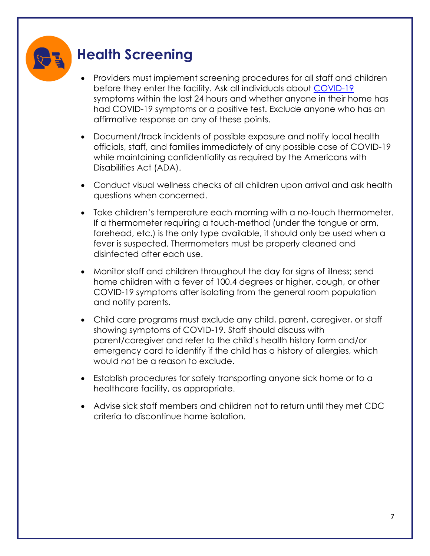### **Health Screening**

- Providers must implement screening procedures for all staff and children before they enter the facility. Ask all individuals about [COVID-19](https://www.cdc.gov/coronavirus/2019-ncov/symptoms-testing/symptoms.html) symptoms within the last 24 hours and whether anyone in their home has had COVID-19 symptoms or a positive test. Exclude anyone who has an affirmative response on any of these points.
- Document/track incidents of possible exposure and notify local health officials, staff, and families immediately of any possible case of COVID-19 while maintaining confidentiality as required by the Americans with Disabilities Act (ADA).
- Conduct visual wellness checks of all children upon arrival and ask health questions when concerned.
- Take children's temperature each morning with a no-touch thermometer. If a thermometer requiring a touch-method (under the tongue or arm, forehead, etc.) is the only type available, it should only be used when a fever is suspected. Thermometers must be properly cleaned and disinfected after each use.
- Monitor staff and children throughout the day for signs of illness; send home children with a fever of 100.4 degrees or higher, cough, or other COVID-19 symptoms after isolating from the general room population and notify parents.
- Child care programs must exclude any child, parent, caregiver, or staff showing symptoms of COVID-19. Staff should discuss with parent/caregiver and refer to the child's health history form and/or emergency card to identify if the child has a history of allergies, which would not be a reason to exclude.
- Establish procedures for safely transporting anyone sick home or to a healthcare facility, as appropriate.
- Advise sick staff members and children not to return until they met CDC criteria to discontinue home isolation.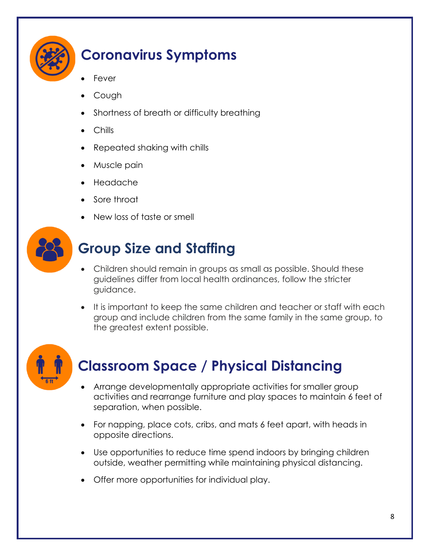

### **Coronavirus Symptoms**

- **Fever**
- Cough
- Shortness of breath or difficulty breathing
- Chills
- Repeated shaking with chills
- Muscle pain
- Headache
- Sore throat
- New loss of taste or smell



### **Group Size and Staffing**

- Children should remain in groups as small as possible. Should these guidelines differ from local health ordinances, follow the stricter guidance.
- It is important to keep the same children and teacher or staff with each group and include children from the same family in the same group, to the greatest extent possible.



### **Classroom Space / Physical Distancing**

- Arrange developmentally appropriate activities for smaller group activities and rearrange furniture and play spaces to maintain 6 feet of separation, when possible.
- For napping, place cots, cribs, and mats 6 feet apart, with heads in opposite directions.
- Use opportunities to reduce time spend indoors by bringing children outside, weather permitting while maintaining physical distancing.
- Offer more opportunities for individual play.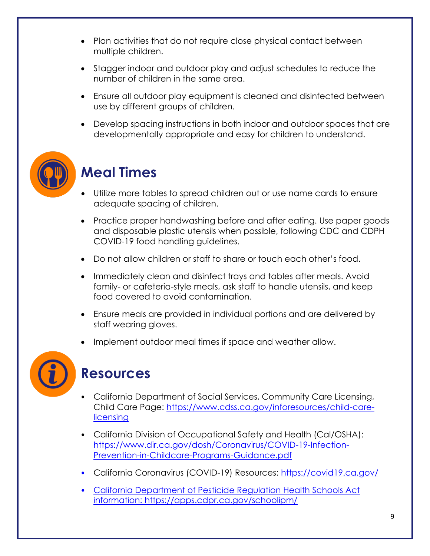- Plan activities that do not require close physical contact between multiple children.
- Stagger indoor and outdoor play and adjust schedules to reduce the number of children in the same area.
- Ensure all outdoor play equipment is cleaned and disinfected between use by different groups of children.
- Develop spacing instructions in both indoor and outdoor spaces that are developmentally appropriate and easy for children to understand.



### **Meal Times**

- Utilize more tables to spread children out or use name cards to ensure adequate spacing of children.
- Practice proper handwashing before and after eating. Use paper goods and disposable plastic utensils when possible, following CDC and CDPH COVID-19 food handling guidelines.
- Do not allow children or staff to share or touch each other's food.
- Immediately clean and disinfect trays and tables after meals. Avoid family- or cafeteria-style meals, ask staff to handle utensils, and keep food covered to avoid contamination.
- Ensure meals are provided in individual portions and are delivered by staff wearing gloves.
- Implement outdoor meal times if space and weather allow.



### **Resources**

- California Department of Social Services, Community Care Licensing, Child Care Page: [https://www.cdss.ca.gov/inforesources/child-care](https://www.cdss.ca.gov/inforesources/child-care-licensing)[licensing](https://www.cdss.ca.gov/inforesources/child-care-licensing)
- California Division of Occupational Safety and Health (Cal/OSHA): [https://www.dir.ca.gov/dosh/Coronavirus/COVID-19-Infection-](https://www.dir.ca.gov/dosh/Coronavirus/COVID-19-Infection-Prevention-in-Childcare-Programs-Guidance.pdf)[Prevention-in-Childcare-Programs-Guidance.pdf](https://www.dir.ca.gov/dosh/Coronavirus/COVID-19-Infection-Prevention-in-Childcare-Programs-Guidance.pdf)
- California Coronavirus (COVID-19) Resources:<https://covid19.ca.gov/>
- California Department of Pesticide Regulation Health Schools Act information:<https://apps.cdpr.ca.gov/schoolipm/>